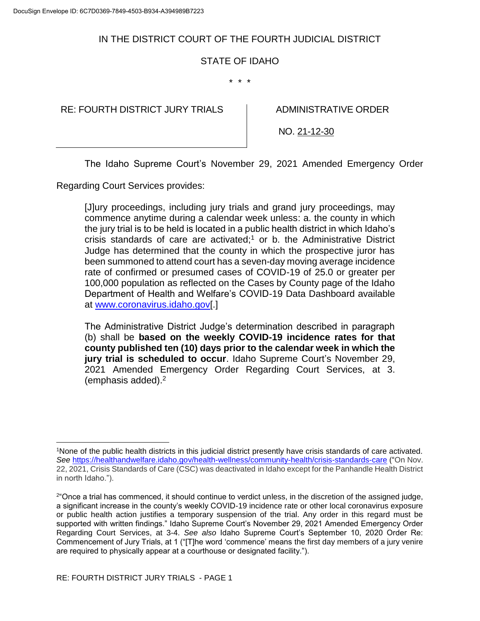# IN THE DISTRICT COURT OF THE FOURTH JUDICIAL DISTRICT

## STATE OF IDAHO

\* \* \*

RE: FOURTH DISTRICT JURY TRIALS  $\parallel$  ADMINISTRATIVE ORDER

NO. 21-12-30

The Idaho Supreme Court's November 29, 2021 Amended Emergency Order

Regarding Court Services provides:

[J]ury proceedings, including jury trials and grand jury proceedings, may commence anytime during a calendar week unless: a. the county in which the jury trial is to be held is located in a public health district in which Idaho's crisis standards of care are activated;<sup>1</sup> or b. the Administrative District Judge has determined that the county in which the prospective juror has been summoned to attend court has a seven-day moving average incidence rate of confirmed or presumed cases of COVID-19 of 25.0 or greater per 100,000 population as reflected on the Cases by County page of the Idaho Department of Health and Welfare's COVID-19 Data Dashboard available at [www.coronavirus.idaho.gov\[](http://www.coronavirus.idaho.gov/).]

The Administrative District Judge's determination described in paragraph (b) shall be **based on the weekly COVID-19 incidence rates for that county published ten (10) days prior to the calendar week in which the jury trial is scheduled to occur**. Idaho Supreme Court's November 29, 2021 Amended Emergency Order Regarding Court Services, at 3. (emphasis added).<sup>2</sup>

 $\overline{\phantom{a}}$ 

<sup>1</sup>None of the public health districts in this judicial district presently have crisis standards of care activated. *See* <https://healthandwelfare.idaho.gov/health-wellness/community-health/crisis-standards-care> ("On Nov. 22, 2021, Crisis Standards of Care (CSC) was deactivated in Idaho except for the Panhandle Health District in north Idaho.").

<sup>&</sup>lt;sup>2"</sup>Once a trial has commenced, it should continue to verdict unless, in the discretion of the assigned judge, a significant increase in the county's weekly COVID-19 incidence rate or other local coronavirus exposure or public health action justifies a temporary suspension of the trial. Any order in this regard must be supported with written findings." Idaho Supreme Court's November 29, 2021 Amended Emergency Order Regarding Court Services, at 3-4. *See also* Idaho Supreme Court's September 10, 2020 Order Re: Commencement of Jury Trials, at 1 ("[T]he word 'commence' means the first day members of a jury venire are required to physically appear at a courthouse or designated facility.").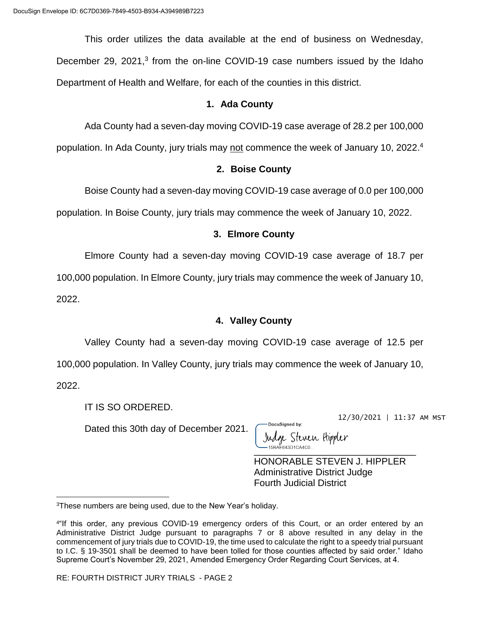This order utilizes the data available at the end of business on Wednesday, December 29, 2021,<sup>3</sup> from the on-line COVID-19 case numbers issued by the Idaho Department of Health and Welfare, for each of the counties in this district.

#### **1. Ada County**

Ada County had a seven-day moving COVID-19 case average of 28.2 per 100,000

population. In Ada County, jury trials may not commence the week of January 10, 2022.<sup>4</sup>

### **2. Boise County**

Boise County had a seven-day moving COVID-19 case average of 0.0 per 100,000

population. In Boise County, jury trials may commence the week of January 10, 2022.

## **3. Elmore County**

Elmore County had a seven-day moving COVID-19 case average of 18.7 per

100,000 population. In Elmore County, jury trials may commence the week of January 10,

2022.

 $\overline{\phantom{a}}$ 

## **4. Valley County**

Valley County had a seven-day moving COVID-19 case average of 12.5 per 100,000 population. In Valley County, jury trials may commence the week of January 10, 2022.

IT IS SO ORDERED.

Dated this 30th day of December 2021.

DocuSianed by: Judge Steven Hippler \_\_\_\_\_\_\_\_\_\_\_\_\_\_\_\_\_\_\_\_\_\_\_\_\_\_\_\_\_\_\_

HONORABLE STEVEN J. HIPPLER Administrative District Judge Fourth Judicial District

12/30/2021 | 11:37 AM MST

<sup>3</sup>These numbers are being used, due to the New Year's holiday.

<sup>4</sup> "If this order, any previous COVID-19 emergency orders of this Court, or an order entered by an Administrative District Judge pursuant to paragraphs 7 or 8 above resulted in any delay in the commencement of jury trials due to COVID-19, the time used to calculate the right to a speedy trial pursuant to I.C. § 19-3501 shall be deemed to have been tolled for those counties affected by said order." Idaho Supreme Court's November 29, 2021, Amended Emergency Order Regarding Court Services, at 4.